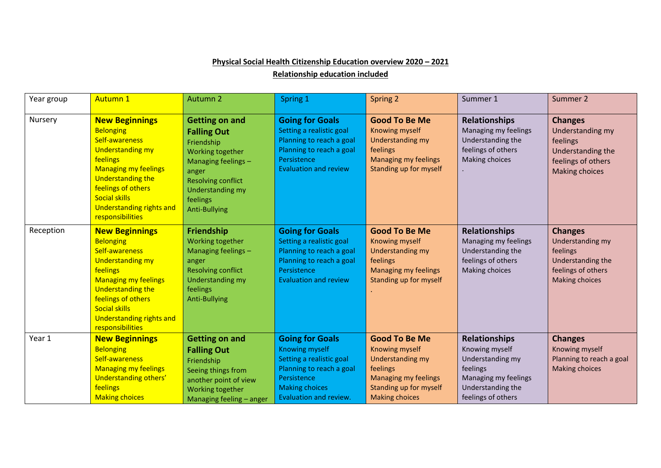## **Physical Social Health Citizenship Education overview 2020 – 2021**

**Relationship education included**

| Year group | <b>Autumn 1</b>                                                                                                                                                                                                                                                    | Autumn 2                                                                                                                                                                                           | Spring 1                                                                                                                                                                  | Spring 2                                                                                                                                                 | Summer 1                                                                                                                                  | Summer 2                                                                                                           |
|------------|--------------------------------------------------------------------------------------------------------------------------------------------------------------------------------------------------------------------------------------------------------------------|----------------------------------------------------------------------------------------------------------------------------------------------------------------------------------------------------|---------------------------------------------------------------------------------------------------------------------------------------------------------------------------|----------------------------------------------------------------------------------------------------------------------------------------------------------|-------------------------------------------------------------------------------------------------------------------------------------------|--------------------------------------------------------------------------------------------------------------------|
| Nursery    | <b>New Beginnings</b><br><b>Belonging</b><br>Self-awareness<br><b>Understanding my</b><br>feelings<br><b>Managing my feelings</b><br><b>Understanding the</b><br>feelings of others<br><b>Social skills</b><br><b>Understanding rights and</b><br>responsibilities | <b>Getting on and</b><br><b>Falling Out</b><br>Friendship<br>Working together<br>Managing feelings -<br>anger<br><b>Resolving conflict</b><br>Understanding my<br>feelings<br><b>Anti-Bullying</b> | <b>Going for Goals</b><br>Setting a realistic goal<br>Planning to reach a goal<br>Planning to reach a goal<br>Persistence<br><b>Evaluation and review</b>                 | <b>Good To Be Me</b><br>Knowing myself<br><b>Understanding my</b><br>feelings<br>Managing my feelings<br>Standing up for myself                          | <b>Relationships</b><br>Managing my feelings<br>Understanding the<br>feelings of others<br>Making choices                                 | <b>Changes</b><br>Understanding my<br>feelings<br>Understanding the<br>feelings of others<br><b>Making choices</b> |
| Reception  | <b>New Beginnings</b><br><b>Belonging</b><br>Self-awareness<br><b>Understanding my</b><br>feelings<br><b>Managing my feelings</b><br><b>Understanding the</b><br>feelings of others<br><b>Social skills</b><br>Understanding rights and<br>responsibilities        | <b>Friendship</b><br>Working together<br>Managing feelings -<br>anger<br><b>Resolving conflict</b><br><b>Understanding my</b><br>feelings<br><b>Anti-Bullying</b>                                  | <b>Going for Goals</b><br>Setting a realistic goal<br>Planning to reach a goal<br>Planning to reach a goal<br>Persistence<br><b>Evaluation and review</b>                 | <b>Good To Be Me</b><br><b>Knowing myself</b><br><b>Understanding my</b><br>feelings<br><b>Managing my feelings</b><br>Standing up for myself            | <b>Relationships</b><br>Managing my feelings<br>Understanding the<br>feelings of others<br>Making choices                                 | <b>Changes</b><br>Understanding my<br>feelings<br>Understanding the<br>feelings of others<br><b>Making choices</b> |
| Year 1     | <b>New Beginnings</b><br><b>Belonging</b><br>Self-awareness<br><b>Managing my feelings</b><br>Understanding others'<br>feelings<br><b>Making choices</b>                                                                                                           | <b>Getting on and</b><br><b>Falling Out</b><br>Friendship<br>Seeing things from<br>another point of view<br>Working together<br>Managing feeling - anger                                           | <b>Going for Goals</b><br><b>Knowing myself</b><br>Setting a realistic goal<br>Planning to reach a goal<br>Persistence<br><b>Making choices</b><br>Evaluation and review. | <b>Good To Be Me</b><br>Knowing myself<br><b>Understanding my</b><br>feelings<br>Managing my feelings<br>Standing up for myself<br><b>Making choices</b> | <b>Relationships</b><br>Knowing myself<br>Understanding my<br>feelings<br>Managing my feelings<br>Understanding the<br>feelings of others | <b>Changes</b><br>Knowing myself<br>Planning to reach a goal<br><b>Making choices</b>                              |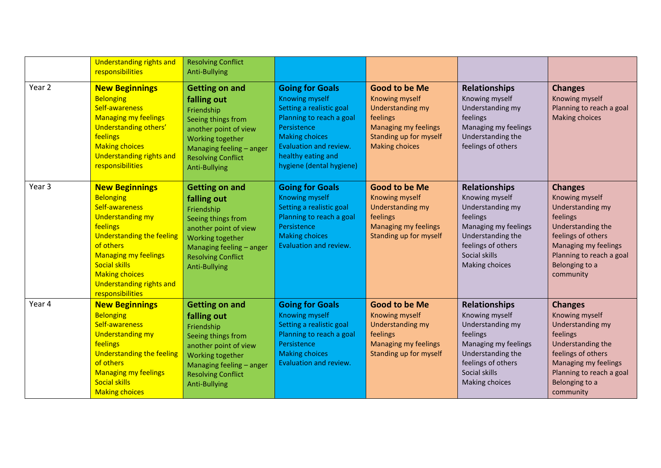|        | <b>Understanding rights and</b><br>responsibilities                                                                                                                                                                                                                                 | <b>Resolving Conflict</b><br><b>Anti-Bullying</b>                                                                                                                                                      |                                                                                                                                                                                                                             |                                                                                                                                                                 |                                                                                                                                                                              |                                                                                                                                                                                                |
|--------|-------------------------------------------------------------------------------------------------------------------------------------------------------------------------------------------------------------------------------------------------------------------------------------|--------------------------------------------------------------------------------------------------------------------------------------------------------------------------------------------------------|-----------------------------------------------------------------------------------------------------------------------------------------------------------------------------------------------------------------------------|-----------------------------------------------------------------------------------------------------------------------------------------------------------------|------------------------------------------------------------------------------------------------------------------------------------------------------------------------------|------------------------------------------------------------------------------------------------------------------------------------------------------------------------------------------------|
| Year 2 | <b>New Beginnings</b><br><b>Belonging</b><br>Self-awareness<br><b>Managing my feelings</b><br>Understanding others'<br>feelings<br><b>Making choices</b><br><b>Understanding rights and</b><br>responsibilities                                                                     | <b>Getting on and</b><br>falling out<br>Friendship<br>Seeing things from<br>another point of view<br>Working together<br>Managing feeling - anger<br><b>Resolving Conflict</b><br><b>Anti-Bullying</b> | <b>Going for Goals</b><br><b>Knowing myself</b><br>Setting a realistic goal<br>Planning to reach a goal<br>Persistence<br><b>Making choices</b><br>Evaluation and review.<br>healthy eating and<br>hygiene (dental hygiene) | <b>Good to be Me</b><br><b>Knowing myself</b><br><b>Understanding my</b><br>feelings<br>Managing my feelings<br>Standing up for myself<br><b>Making choices</b> | <b>Relationships</b><br>Knowing myself<br>Understanding my<br>feelings<br>Managing my feelings<br>Understanding the<br>feelings of others                                    | <b>Changes</b><br>Knowing myself<br>Planning to reach a goal<br><b>Making choices</b>                                                                                                          |
| Year 3 | <b>New Beginnings</b><br><b>Belonging</b><br>Self-awareness<br><b>Understanding my</b><br>feelings<br>Understanding the feeling<br>of others<br><b>Managing my feelings</b><br><b>Social skills</b><br><b>Making choices</b><br><b>Understanding rights and</b><br>responsibilities | <b>Getting on and</b><br>falling out<br>Friendship<br>Seeing things from<br>another point of view<br><b>Working together</b><br>Managing feeling - anger<br><b>Resolving Conflict</b><br>Anti-Bullying | <b>Going for Goals</b><br><b>Knowing myself</b><br>Setting a realistic goal<br>Planning to reach a goal<br>Persistence<br><b>Making choices</b><br>Evaluation and review.                                                   | <b>Good to be Me</b><br>Knowing myself<br><b>Understanding my</b><br>feelings<br>Managing my feelings<br>Standing up for myself                                 | <b>Relationships</b><br>Knowing myself<br>Understanding my<br>feelings<br>Managing my feelings<br>Understanding the<br>feelings of others<br>Social skills<br>Making choices | <b>Changes</b><br>Knowing myself<br>Understanding my<br>feelings<br>Understanding the<br>feelings of others<br>Managing my feelings<br>Planning to reach a goal<br>Belonging to a<br>community |
| Year 4 | <b>New Beginnings</b><br><b>Belonging</b><br>Self-awareness<br><b>Understanding my</b><br>feelings<br>Understanding the feeling<br>of others<br><b>Managing my feelings</b><br><b>Social skills</b><br><b>Making choices</b>                                                        | <b>Getting on and</b><br>falling out<br>Friendship<br>Seeing things from<br>another point of view<br>Working together<br>Managing feeling - anger<br><b>Resolving Conflict</b><br><b>Anti-Bullying</b> | <b>Going for Goals</b><br><b>Knowing myself</b><br>Setting a realistic goal<br>Planning to reach a goal<br>Persistence<br><b>Making choices</b><br>Evaluation and review.                                                   | <b>Good to be Me</b><br>Knowing myself<br><b>Understanding my</b><br>feelings<br><b>Managing my feelings</b><br>Standing up for myself                          | <b>Relationships</b><br>Knowing myself<br>Understanding my<br>feelings<br>Managing my feelings<br>Understanding the<br>feelings of others<br>Social skills<br>Making choices | <b>Changes</b><br>Knowing myself<br>Understanding my<br>feelings<br>Understanding the<br>feelings of others<br>Managing my feelings<br>Planning to reach a goal<br>Belonging to a<br>community |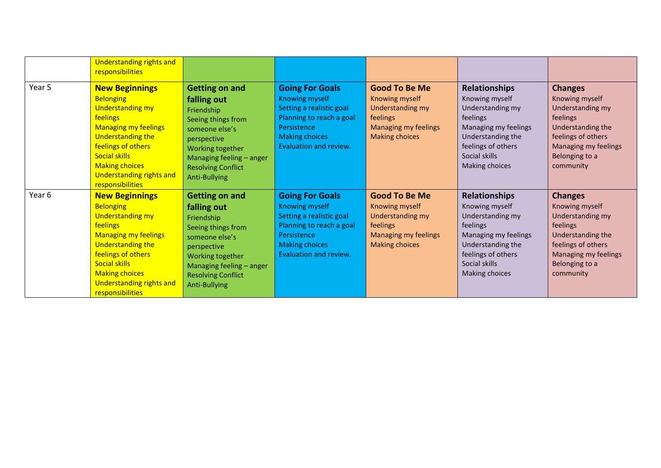|        | Understanding rights and<br>responsibilities                                                                                                                                                                                                                |                                                                                                                                                                                                         |                                                                                                                                                                    |                                                                                                                                |                                                                                                                                                                                     |                                                                                                                                                                           |
|--------|-------------------------------------------------------------------------------------------------------------------------------------------------------------------------------------------------------------------------------------------------------------|---------------------------------------------------------------------------------------------------------------------------------------------------------------------------------------------------------|--------------------------------------------------------------------------------------------------------------------------------------------------------------------|--------------------------------------------------------------------------------------------------------------------------------|-------------------------------------------------------------------------------------------------------------------------------------------------------------------------------------|---------------------------------------------------------------------------------------------------------------------------------------------------------------------------|
| Year 5 | <b>New Beginnings</b><br><b>Belonging</b><br><b>Understanding my</b><br>feelings<br><b>Managing my feelings</b><br>Understanding the<br>feelings of others<br><b>Social skills</b><br><b>Making choices</b><br>Understanding rights and<br>responsibilities | <b>Getting on and</b><br>falling out<br>Friendship<br>Seeing things from<br>someone else's<br>perspective<br>Working together<br>Managing feeling - anger<br><b>Resolving Conflict</b><br>Anti-Bullying | <b>Going For Goals</b><br>Knowing myself<br>Setting a realistic goal<br>Planning to reach a goal<br>Persistence<br>Making choices<br>Evaluation and review.        | <b>Good To Be Me</b><br>Knowing myself<br>Understanding my<br>feelings<br><b>Managing my feelings</b><br><b>Making choices</b> | <b>Relationships</b><br>Knowing myself<br>Understanding my<br>feelings<br>Managing my feelings<br>Understanding the<br>feelings of others<br>Social skills<br><b>Making choices</b> | <b>Changes</b><br>Knowing myself<br>Understanding my<br>feelings<br>Understanding the<br>feelings of others<br>Managing my feelings<br>Belonging to a<br>community        |
| Year 6 | <b>New Beginnings</b><br><b>Belonging</b><br><b>Understanding my</b><br>feelings<br><b>Managing my feelings</b><br>Understanding the<br>feelings of others<br><b>Social skills</b><br><b>Making choices</b><br>Understanding rights and<br>responsibilities | <b>Getting on and</b><br>falling out<br>Friendship<br>Seeing things from<br>someone else's<br>perspective<br>Working together<br>Managing feeling - anger<br><b>Resolving Conflict</b><br>Anti-Bullying | <b>Going For Goals</b><br>Knowing myself<br>Setting a realistic goal<br>Planning to reach a goal<br>Persistence<br><b>Making choices</b><br>Evaluation and review. | <b>Good To Be Me</b><br>Knowing myself<br>Understanding my<br>feelings<br>Managing my feelings<br><b>Making choices</b>        | <b>Relationships</b><br>Knowing myself<br>Understanding my<br>feelings<br>Managing my feelings<br>Understanding the<br>feelings of others<br>Social skills<br>Making choices        | <b>Changes</b><br>Knowing myself<br><b>Understanding my</b><br>feelings<br>Understanding the<br>feelings of others<br>Managing my feelings<br>Belonging to a<br>community |